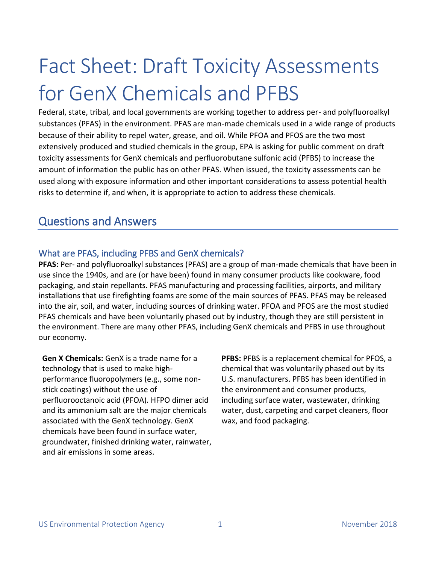# Fact Sheet: Draft Toxicity Assessments for GenX Chemicals and PFBS

Federal, state, tribal, and local governments are working together to address per- and polyfluoroalkyl substances (PFAS) in the environment. PFAS are man-made chemicals used in a wide range of products because of their ability to repel water, grease, and oil. While PFOA and PFOS are the two most extensively produced and studied chemicals in the group, EPA is asking for public comment on draft toxicity assessments for GenX chemicals and perfluorobutane sulfonic acid (PFBS) to increase the amount of information the public has on other PFAS. When issued, the toxicity assessments can be used along with exposure information and other important considerations to assess potential health risks to determine if, and when, it is appropriate to action to address these chemicals.

### Questions and Answers

#### What are PFAS, including PFBS and GenX chemicals?

**PFAS:** Per- and polyfluoroalkyl substances (PFAS) are a group of man-made chemicals that have been in use since the 1940s, and are (or have been) found in many consumer products like cookware, food packaging, and stain repellants. PFAS manufacturing and processing facilities, airports, and military installations that use firefighting foams are some of the main sources of PFAS. PFAS may be released into the air, soil, and water, including sources of drinking water. PFOA and PFOS are the most studied PFAS chemicals and have been voluntarily phased out by industry, though they are still persistent in the environment. There are many other PFAS, including GenX chemicals and PFBS in use throughout our economy.

**Gen X Chemicals:** GenX is a trade name for a technology that is used to make highperformance fluoropolymers (e.g., some nonstick coatings) without the use of perfluorooctanoic acid (PFOA). HFPO dimer acid and its ammonium salt are the major chemicals associated with the GenX technology. GenX chemicals have been found in surface water, groundwater, finished drinking water, rainwater, and air emissions in some areas.

**PFBS:** PFBS is a replacement chemical for PFOS, a chemical that was voluntarily phased out by its U.S. manufacturers. PFBS has been identified in the environment and consumer products, including surface water, wastewater, drinking water, dust, carpeting and carpet cleaners, floor wax, and food packaging.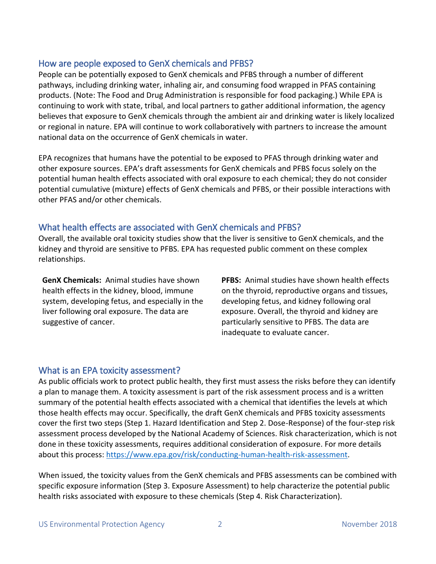#### How are people exposed to GenX chemicals and PFBS?

People can be potentially exposed to GenX chemicals and PFBS through a number of different pathways, including drinking water, inhaling air, and consuming food wrapped in PFAS containing products. (Note: The Food and Drug Administration is responsible for food packaging.) While EPA is continuing to work with state, tribal, and local partners to gather additional information, the agency believes that exposure to GenX chemicals through the ambient air and drinking water is likely localized or regional in nature. EPA will continue to work collaboratively with partners to increase the amount national data on the occurrence of GenX chemicals in water.

EPA recognizes that humans have the potential to be exposed to PFAS through drinking water and other exposure sources. EPA's draft assessments for GenX chemicals and PFBS focus solely on the potential human health effects associated with oral exposure to each chemical; they do not consider potential cumulative (mixture) effects of GenX chemicals and PFBS, or their possible interactions with other PFAS and/or other chemicals.

#### What health effects are associated with GenX chemicals and PFBS?

Overall, the available oral toxicity studies show that the liver is sensitive to GenX chemicals, and the kidney and thyroid are sensitive to PFBS. EPA has requested public comment on these complex relationships.

**GenX Chemicals:** Animal studies have shown health effects in the kidney, blood, immune system, developing fetus, and especially in the liver following oral exposure. The data are suggestive of cancer.

**PFBS:** Animal studies have shown health effects on the thyroid, reproductive organs and tissues, developing fetus, and kidney following oral exposure. Overall, the thyroid and kidney are particularly sensitive to PFBS. The data are inadequate to evaluate cancer.

#### What is an EPA toxicity assessment?

As public officials work to protect public health, they first must assess the risks before they can identify a plan to manage them. A toxicity assessment is part of the risk assessment process and is a written summary of the potential health effects associated with a chemical that identifies the levels at which those health effects may occur. Specifically, the draft GenX chemicals and PFBS toxicity assessments cover the first two steps (Step 1. Hazard Identification and Step 2. Dose-Response) of the four-step risk assessment process developed by the National Academy of Sciences. Risk characterization, which is not done in these toxicity assessments, requires additional consideration of exposure. For more details about this process: [https://www.epa.gov/risk/conducting-human-health-risk-assessment.](https://www.epa.gov/risk/conducting-human-health-risk-assessment)

When issued, the toxicity values from the GenX chemicals and PFBS assessments can be combined with specific exposure information (Step 3. Exposure Assessment) to help characterize the potential public health risks associated with exposure to these chemicals (Step 4. Risk Characterization).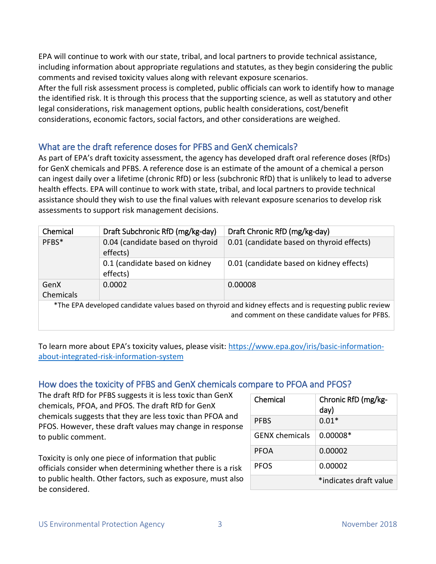EPA will continue to work with our state, tribal, and local partners to provide technical assistance, including information about appropriate regulations and statutes, as they begin considering the public comments and revised toxicity values along with relevant exposure scenarios.

After the full risk assessment process is completed, public officials can work to identify how to manage the identified risk. It is through this process that the supporting science, as well as statutory and other legal considerations, risk management options, public health considerations, cost/benefit considerations, economic factors, social factors, and other considerations are weighed.

#### What are the draft reference doses for PFBS and GenX chemicals?

As part of EPA's draft toxicity assessment, the agency has developed draft oral reference doses (RfDs) for GenX chemicals and PFBS. A reference dose is an estimate of the amount of a chemical a person can ingest daily over a lifetime (chronic RfD) or less (subchronic RfD) that is unlikely to lead to adverse health effects. EPA will continue to work with state, tribal, and local partners to provide technical assistance should they wish to use the final values with relevant exposure scenarios to develop risk assessments to support risk management decisions.

| Chemical          | Draft Subchronic RfD (mg/kg-day)             | Draft Chronic RfD (mg/kg-day)                                                                                                                              |
|-------------------|----------------------------------------------|------------------------------------------------------------------------------------------------------------------------------------------------------------|
| PFBS*             | 0.04 (candidate based on thyroid<br>effects) | 0.01 (candidate based on thyroid effects)                                                                                                                  |
|                   | 0.1 (candidate based on kidney<br>effects)   | 0.01 (candidate based on kidney effects)                                                                                                                   |
| GenX<br>Chemicals | 0.0002                                       | 0.00008                                                                                                                                                    |
|                   |                                              | *The EPA developed candidate values based on thyroid and kidney effects and is requesting public review<br>and comment on these candidate values for PFBS. |

To learn more about EPA's toxicity values, please visit: [https://www.epa.gov/iris/basic-information](https://www.epa.gov/iris/basic-information-about-integrated-risk-information-system)[about-integrated-risk-information-system](https://www.epa.gov/iris/basic-information-about-integrated-risk-information-system)

#### How does the toxicity of PFBS and GenX chemicals compare to PFOA and PFOS?

The draft RfD for PFBS suggests it is less toxic than GenX chemicals, PFOA, and PFOS. The draft RfD for GenX chemicals suggests that they are less toxic than PFOA and PFOS. However, these draft values may change in response to public comment.

Toxicity is only one piece of information that public officials consider when determining whether there is a risk to public health. Other factors, such as exposure, must also be considered.

| Chemical              | Chronic RfD (mg/kg-<br>day) |
|-----------------------|-----------------------------|
| <b>PFBS</b>           | $0.01*$                     |
| <b>GENX</b> chemicals | $0.00008*$                  |
| PFOA                  | 0.00002                     |
| <b>PFOS</b>           | 0.00002                     |
|                       | tindicates draft value*     |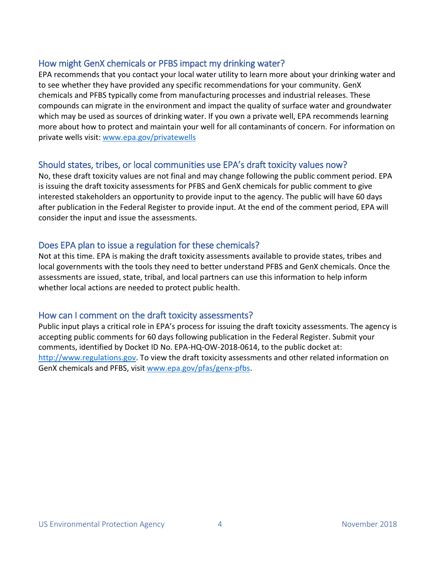#### How might GenX chemicals or PFBS impact my drinking water?

EPA recommends that you contact your local water utility to learn more about your drinking water and to see whether they have provided any specific recommendations for your community. GenX chemicals and PFBS typically come from manufacturing processes and industrial releases. These compounds can migrate in the environment and impact the quality of surface water and groundwater which may be used as sources of drinking water. If you own a private well, EPA recommends learning more about how to protect and maintain your well for all contaminants of concern. For information on private wells visit: [www.epa.gov/privatewells](http://www.epa.gov/privatewells)

#### Should states, tribes, or local communities use EPA's draft toxicity values now?

No, these draft toxicity values are not final and may change following the public comment period. EPA is issuing the draft toxicity assessments for PFBS and GenX chemicals for public comment to give interested stakeholders an opportunity to provide input to the agency. The public will have 60 days after publication in the Federal Register to provide input. At the end of the comment period, EPA will consider the input and issue the assessments.

#### Does EPA plan to issue a regulation for these chemicals?

Not at this time. EPA is making the draft toxicity assessments available to provide states, tribes and local governments with the tools they need to better understand PFBS and GenX chemicals. Once the assessments are issued, state, tribal, and local partners can use this information to help inform whether local actions are needed to protect public health.

#### How can I comment on the draft toxicity assessments?

Public input plays a critical role in EPA's process for issuing the draft toxicity assessments. The agency is accepting public comments for 60 days following publication in the Federal Register. Submit your comments, identified by Docket ID No. EPA-HQ-OW-2018-0614, to the public docket at: [http://www.regulations.gov.](http://www.regulations.gov/) To view the draft toxicity assessments and other related information on GenX chemicals and PFBS, visit [www.epa.gov/pfas/genx-pfbs.](http://www.epa.gov/pfas/genx-pfbs)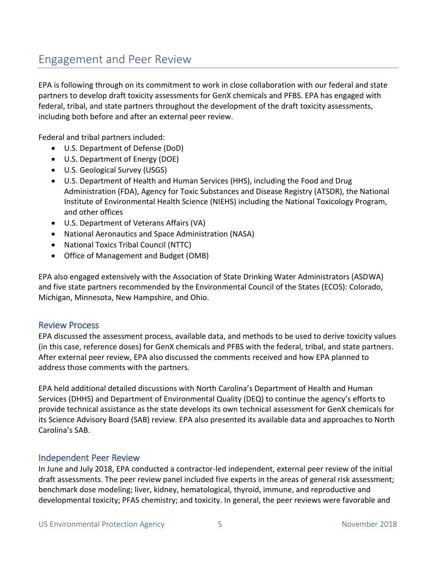## Engagement and Peer Review

EPA is following through on its commitment to work in close collaboration with our federal and state partners to develop draft toxicity assessments for GenX chemicals and PFBS. EPA has engaged with federal, tribal, and state partners throughout the development of the draft toxicity assessments, including both before and after an external peer review.

Federal and tribal partners included:

- U.S. Department of Defense (DoD)
- U.S. Department of Energy (DOE)
- U.S. Geological Survey (USGS)
- U.S. Department of Health and Human Services (HHS), including the Food and Drug Administration (FDA), Agency for Toxic Substances and Disease Registry (ATSDR), the National Institute of Environmental Health Science (NIEHS) including the National Toxicology Program, and other offices
- U.S. Department of Veterans Affairs (VA)
- National Aeronautics and Space Administration (NASA)
- National Toxics Tribal Council (NTTC)
- Office of Management and Budget (OMB)

EPA also engaged extensively with the Association of State Drinking Water Administrators (ASDWA) and five state partners recommended by the Environmental Council of the States (ECOS): Colorado, Michigan, Minnesota, New Hampshire, and Ohio.

#### Review Process

EPA discussed the assessment process, available data, and methods to be used to derive toxicity values (in this case, reference doses) for GenX chemicals and PFBS with the federal, tribal, and state partners. After external peer review, EPA also discussed the comments received and how EPA planned to address those comments with the partners.

EPA held additional detailed discussions with North Carolina's Department of Health and Human Services (DHHS) and Department of Environmental Quality (DEQ) to continue the agency's efforts to provide technical assistance as the state develops its own technical assessment for GenX chemicals for its Science Advisory Board (SAB) review. EPA also presented its available data and approaches to North Carolina's SAB.

#### Independent Peer Review

In June and July 2018, EPA conducted a contractor-led independent, external peer review of the initial draft assessments. The peer review panel included five experts in the areas of general risk assessment; benchmark dose modeling; liver, kidney, hematological, thyroid, immune, and reproductive and developmental toxicity; PFAS chemistry; and toxicity. In general, the peer reviews were favorable and